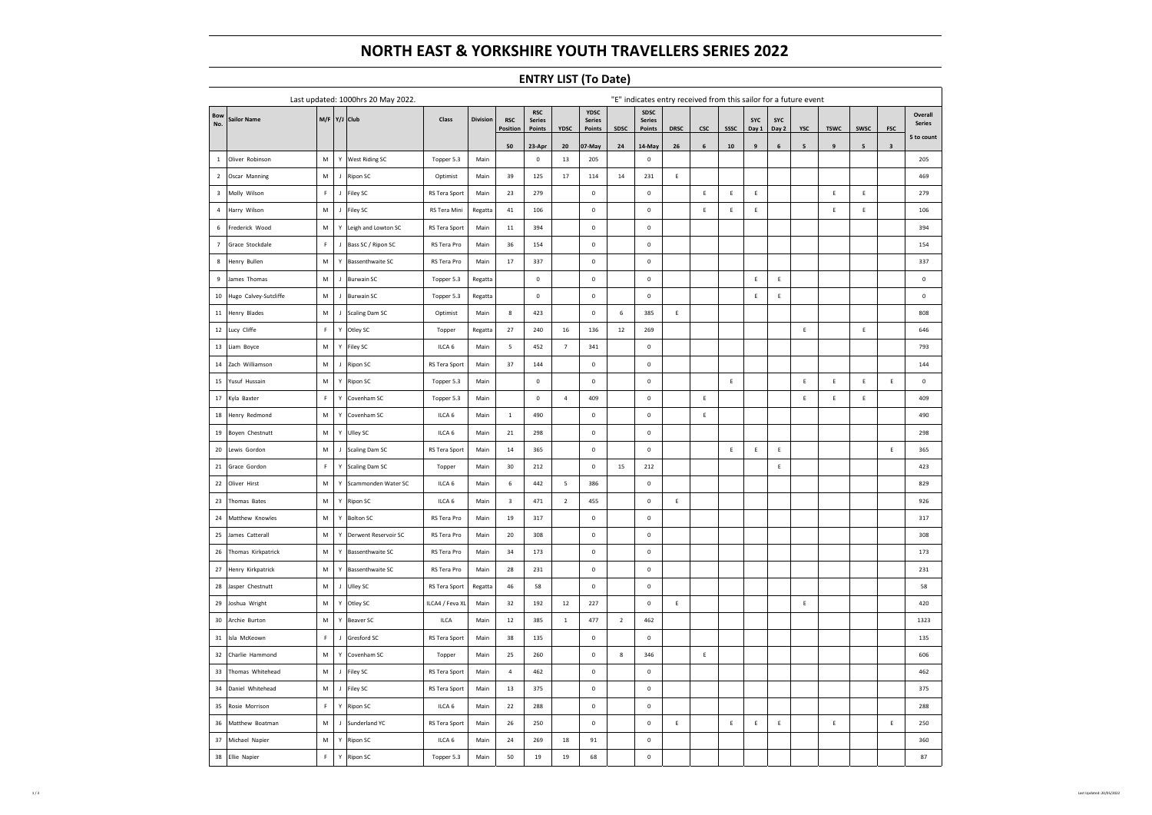# **NORTH EAST & YORKSHIRE YOUTH TRAVELLERS SERIES 2022**

### **ENTRY LIST (To Date)**

| Last updated: 1000hrs 20 May 2022. |                       |             |              |                         |                 |          | "E" indicates entry received from this sailor for a future event |                                       |                |                                 |                |                                 |             |             |             |                     |              |             |             |             |             |                          |
|------------------------------------|-----------------------|-------------|--------------|-------------------------|-----------------|----------|------------------------------------------------------------------|---------------------------------------|----------------|---------------------------------|----------------|---------------------------------|-------------|-------------|-------------|---------------------|--------------|-------------|-------------|-------------|-------------|--------------------------|
| <b>Bow</b><br>No.                  | Sailor Name           |             |              | M/F Y/J Club            | Class           | Division | <b>RSC</b><br><b>Position</b>                                    | <b>RSC</b><br><b>Series</b><br>Points | YDSC           | YDSC<br><b>Series</b><br>Points | SDSC           | SDSC<br><b>Series</b><br>Points | <b>DRSC</b> | csc         | SSSC        | <b>SYC</b><br>Day 1 | SYC<br>Day 2 | YSC         | <b>TSWC</b> | <b>SWSC</b> | <b>FSC</b>  | Overall<br><b>Series</b> |
|                                    |                       |             |              |                         |                 |          | 50                                                               | 23-Apr                                | 20             | 07-May                          | 24             | 14-May                          | 26          | 6           | 10          | 9                   | $\,$ 6 $\,$  | 5           | 9           | 5           | $\mathbf 3$ | 5 to count               |
| $\mathbf{1}$                       | Oliver Robinson       | M           |              | Y   West Riding SC      | Topper 5.3      | Main     |                                                                  | $\mathsf 0$                           | 13             | 205                             |                | $\mathbf 0$                     |             |             |             |                     |              |             |             |             |             | 205                      |
| $\overline{2}$                     | Oscar Manning         | M           | $\mathbf{J}$ | Ripon SC                | Optimist        | Main     | 39                                                               | 125                                   | 17             | 114                             | 14             | 231                             | $\mathsf E$ |             |             |                     |              |             |             |             |             | 469                      |
| $\overline{\mathbf{3}}$            | Molly Wilson          | F           | $\mathsf{J}$ | Filey SC                | RS Tera Sport   | Main     | 23                                                               | 279                                   |                | $\mathbf 0$                     |                | $\mathbf 0$                     |             | Ε           | $\mathsf E$ | Ε                   |              |             | E           | Ε           |             | 279                      |
| $\overline{4}$                     | Harry Wilson          | M           | $\mathbf{J}$ | Filey SC                | RS Tera Mini    | Regatta  | 41                                                               | 106                                   |                | $\mathbf 0$                     |                | $\mathbf 0$                     |             | $\mathsf E$ | $\mathsf E$ | $\mathsf E$         |              |             | E           | $\mathsf E$ |             | 106                      |
| $\,$ 6                             | Frederick Wood        | M           | Υ            | Leigh and Lowton SC     | RS Tera Sport   | Main     | $11\,$                                                           | 394                                   |                | $\mathbf 0$                     |                | $\mathbf 0$                     |             |             |             |                     |              |             |             |             |             | 394                      |
| $7\overline{ }$                    | Grace Stockdale       | F           | $\mathsf J$  | Bass SC / Ripon SC      | RS Tera Pro     | Main     | 36                                                               | 154                                   |                | $\mathbf 0$                     |                | $\mathbf 0$                     |             |             |             |                     |              |             |             |             |             | 154                      |
| $\boldsymbol{8}$                   | Henry Bullen          | M           | Υ            | <b>Bassenthwaite SC</b> | RS Tera Pro     | Main     | 17                                                               | 337                                   |                | $\mathbf 0$                     |                | $\mathbf 0$                     |             |             |             |                     |              |             |             |             |             | 337                      |
| 9                                  | James Thomas          | М           | $\mathsf J$  | <b>Burwain SC</b>       | Topper 5.3      | Regatta  |                                                                  | $\mathsf 0$                           |                | $\mathbf 0$                     |                | $\mathbf 0$                     |             |             |             | Ε                   | Ε            |             |             |             |             | $\mathsf 0$              |
| 10                                 | Hugo Calvey-Sutcliffe | M           | $\mathbf{J}$ | <b>Burwain SC</b>       | Topper 5.3      | Regatta  |                                                                  | $\mathsf{o}$                          |                | $\mathbf 0$                     |                | $\mathbf 0$                     |             |             |             | $\mathsf E$         | $\mathsf E$  |             |             |             |             | $\mathsf{O}\xspace$      |
| $11\,$                             | Henry Blades          | M           | $\mathbf{J}$ | <b>Scaling Dam SC</b>   | Optimist        | Main     | $\boldsymbol{8}$                                                 | 423                                   |                | $\mathbf 0$                     | $6\phantom{a}$ | 385                             | E           |             |             |                     |              |             |             |             |             | 808                      |
| $12\,$                             | Lucy Cliffe           | F           | Υ            | Otley SC                | Topper          | Regatta  | 27                                                               | 240                                   | 16             | 136                             | $12\,$         | 269                             |             |             |             |                     |              | $\mathsf E$ |             | $\mathsf E$ |             | 646                      |
| 13                                 | Liam Boyce            | M           | Υ            | Filey SC                | ILCA 6          | Main     | 5                                                                | 452                                   | $\overline{7}$ | 341                             |                | $\mathbf 0$                     |             |             |             |                     |              |             |             |             |             | 793                      |
| 14                                 | Zach Williamson       | М           | $\mathsf J$  | Ripon SC                | RS Tera Sport   | Main     | 37                                                               | 144                                   |                | $\mathbf 0$                     |                | $\mathbf 0$                     |             |             |             |                     |              |             |             |             |             | 144                      |
| 15                                 | Yusuf Hussain         | М           | Υ            | Ripon SC                | Topper 5.3      | Main     |                                                                  | $\mathsf{o}$                          |                | $\mathbf 0$                     |                | $\mathbf 0$                     |             |             | $\mathsf E$ |                     |              | $\mathsf E$ | Ε           | Ε           | $\mathsf E$ | $\mathbf 0$              |
| $17\,$                             | Kyla Baxter           | F           | Υ            | Covenham SC             | Topper 5.3      | Main     |                                                                  | $\mathsf{o}$                          | 4              | 409                             |                | $\mathbf 0$                     |             | $\mathsf E$ |             |                     |              | $\mathsf E$ | Ε           | $\mathsf E$ |             | 409                      |
| ${\bf 18}$                         | Henry Redmond         | М           | Υ            | Covenham SC             | ILCA 6          | Main     | $\mathbf{1}$                                                     | 490                                   |                | $\mathbf 0$                     |                | $\mathbf 0$                     |             | $\mathsf E$ |             |                     |              |             |             |             |             | 490                      |
| 19                                 | Boyen Chestnutt       | M           | Υ            | Ulley SC                | ILCA 6          | Main     | 21                                                               | 298                                   |                | $\Omega$                        |                | $\mathbf 0$                     |             |             |             |                     |              |             |             |             |             | 298                      |
| $20\,$                             | Lewis Gordon          | M           | $\mathbf{J}$ | Scaling Dam SC          | RS Tera Sport   | Main     | 14                                                               | 365                                   |                | $\mathbf 0$                     |                | $\mathbf 0$                     |             |             | E           | Ε                   | $\mathsf E$  |             |             |             | $\mathsf E$ | 365                      |
| 21                                 | Grace Gordon          | $\mathsf F$ | Υ            | Scaling Dam SC          | Topper          | Main     | 30                                                               | 212                                   |                | $\mathbf 0$                     | 15             | 212                             |             |             |             |                     | $\mathsf E$  |             |             |             |             | 423                      |
| 22                                 | Oliver Hirst          | M           | Υ            | Scammonden Water SC     | ILCA 6          | Main     | $\,$ 6 $\,$                                                      | 442                                   | 5              | 386                             |                | $\mathbf 0$                     |             |             |             |                     |              |             |             |             |             | 829                      |
| 23                                 | Thomas Bates          | M           | Υ            | Ripon SC                | ILCA 6          | Main     | $\overline{\mathbf{3}}$                                          | 471                                   | $\overline{2}$ | 455                             |                | $\mathbf 0$                     | Ε           |             |             |                     |              |             |             |             |             | 926                      |
| 24                                 | Matthew Knowles       | M           | Υ            | <b>Bolton SC</b>        | RS Tera Pro     | Main     | 19                                                               | 317                                   |                | $\mathbf 0$                     |                | $\mathbf 0$                     |             |             |             |                     |              |             |             |             |             | 317                      |
| 25                                 | James Catterall       | М           | Y            | Derwent Reservoir SC    | RS Tera Pro     | Main     | 20                                                               | 308                                   |                | $\mathbf 0$                     |                | $\mathbf 0$                     |             |             |             |                     |              |             |             |             |             | 308                      |
| 26                                 | Thomas Kirkpatrick    | M           | Y            | <b>Bassenthwaite SC</b> | RS Tera Pro     | Main     | 34                                                               | 173                                   |                | $\mathbf 0$                     |                | $\mathbf 0$                     |             |             |             |                     |              |             |             |             |             | 173                      |
| 27                                 | Henry Kirkpatrick     | M           | Υ            | <b>Bassenthwaite SC</b> | RS Tera Pro     | Main     | 28                                                               | 231                                   |                | $\mathbf 0$                     |                | $\mathbf 0$                     |             |             |             |                     |              |             |             |             |             | 231                      |
| 28                                 | Jasper Chestnutt      | M           | $\mathsf J$  | Ulley SC                | RS Tera Sport   | Regatta  | 46                                                               | 58                                    |                | $\mathbf 0$                     |                | $\mathbf 0$                     |             |             |             |                     |              |             |             |             |             | 58                       |
| 29                                 | Joshua Wright         | M           | Υ            | Otley SC                | ILCA4 / Feva XL | Main     | 32                                                               | 192                                   | 12             | 227                             |                | $\mathbf 0$                     | E           |             |             |                     |              | $\mathsf E$ |             |             |             | 420                      |
| 30                                 | Archie Burton         | М           | Υ            | Beaver SC               | ILCA            | Main     | 12                                                               | 385                                   | $1\,$          | 477                             | $\overline{2}$ | 462                             |             |             |             |                     |              |             |             |             |             | 1323                     |
| 31                                 | Isla McKeown          | F           | $\mathsf J$  | Gresford SC             | RS Tera Sport   | Main     | 38                                                               | 135                                   |                | $\mathbf 0$                     |                | $\mathbf 0$                     |             |             |             |                     |              |             |             |             |             | 135                      |
| 32                                 | Charlie Hammond       | M           | Y            | Covenham SC             | Topper          | Main     | 25                                                               | 260                                   |                | $\mathbf 0$                     | $\bf8$         | 346                             |             | $\mathsf E$ |             |                     |              |             |             |             |             | 606                      |
| 33                                 | Thomas Whitehead      | M           | $\mathbf{J}$ | Filey SC                | RS Tera Sport   | Main     | $\sqrt{4}$                                                       | 462                                   |                | $\mathbf 0$                     |                | $\mathbf 0$                     |             |             |             |                     |              |             |             |             |             | 462                      |
| 34                                 | Daniel Whitehead      | M           | $\mathbf{I}$ | Filey SC                | RS Tera Sport   | Main     | 13                                                               | 375                                   |                | $\mathbf 0$                     |                | $\mathbf 0$                     |             |             |             |                     |              |             |             |             |             | 375                      |
| 35                                 | Rosie Morrison        | $\mathsf F$ | Y            | Ripon SC                | ILCA 6          | Main     | 22                                                               | 288                                   |                | $\mathbf 0$                     |                | $\mathbf 0$                     |             |             |             |                     |              |             |             |             |             | 288                      |
| 36                                 | Matthew Boatman       | M           | $\mathbf{J}$ | Sunderland YC           | RS Tera Sport   | Main     | 26                                                               | 250                                   |                | $\mathbf 0$                     |                | $\mathbf 0$                     | Ε           |             | $\mathsf E$ | E                   | $\mathsf E$  |             | Ε           |             | $\mathsf E$ | 250                      |
| 37                                 | Michael Napier        | M           | Υ            | Ripon SC                | ILCA 6          | Main     | 24                                                               | 269                                   | 18             | 91                              |                | $\mathbf 0$                     |             |             |             |                     |              |             |             |             |             | 360                      |
| 38                                 | Ellie Napier          | $\mathsf F$ | Υ            | Ripon SC                | Topper 5.3      | Main     | 50                                                               | 19                                    | 19             | 68                              |                | $\mathbf 0$                     |             |             |             |                     |              |             |             |             |             | 87                       |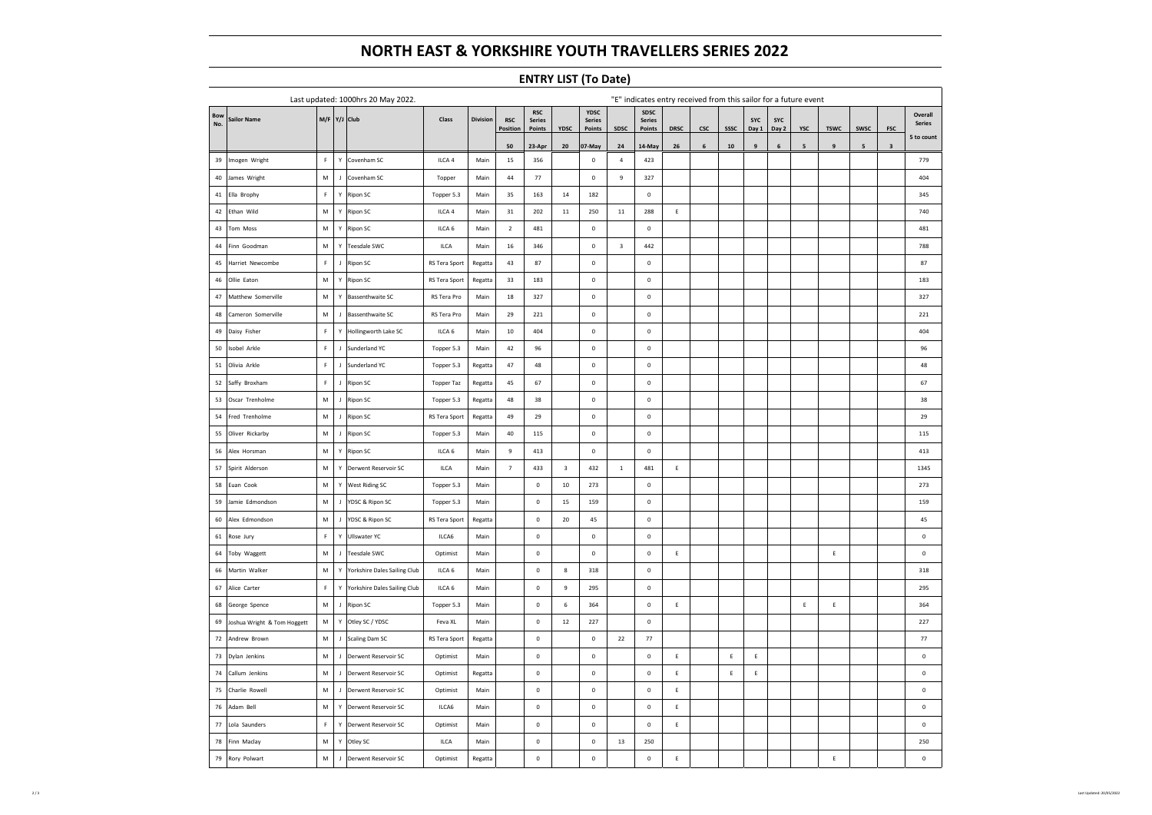# **NORTH EAST & YORKSHIRE YOUTH TRAVELLERS SERIES 2022**

### **ENTRY LIST (To Date)**

| Last updated: 1000hrs 20 May 2022. |                             |             |              |                                     |                   |          | "E" indicates entry received from this sailor for a future event |                                       |                  |                                 |                |                                 |             |            |             |              |              |                 |                |                         |                         |                          |
|------------------------------------|-----------------------------|-------------|--------------|-------------------------------------|-------------------|----------|------------------------------------------------------------------|---------------------------------------|------------------|---------------------------------|----------------|---------------------------------|-------------|------------|-------------|--------------|--------------|-----------------|----------------|-------------------------|-------------------------|--------------------------|
| <b>Bow</b><br>No.                  | Sailor Name                 |             |              | M/F Y/J Club                        | Class             | Division | <b>RSC</b><br><b>Position</b>                                    | <b>RSC</b><br><b>Series</b><br>Points | YDSC             | YDSC<br><b>Series</b><br>Points | <b>SDSC</b>    | SDSC<br><b>Series</b><br>Points | <b>DRSC</b> | <b>CSC</b> | <b>SSSC</b> | SYC<br>Day 1 | SYC<br>Day 2 | <b>YSC</b>      | <b>TSWC</b>    | <b>SWSC</b>             | <b>FSC</b>              | Overall<br><b>Series</b> |
|                                    |                             |             |              |                                     |                   |          | 50                                                               | 23-Apr                                | 20               | 07-May                          | 24             | 14-May                          | 26          | 6          | $10$        | $\mathbf{q}$ | 6            | $5\overline{5}$ | $\overline{9}$ | $\overline{\mathbf{5}}$ | $\overline{\mathbf{3}}$ | 5 to count               |
| 39                                 | Imogen Wright               | $\mathsf F$ | Y            | Covenham SC                         | ILCA 4            | Main     | 15                                                               | 356                                   |                  | $\mathbf 0$                     | $\overline{4}$ | 423                             |             |            |             |              |              |                 |                |                         |                         | 779                      |
| 40                                 | James Wright                | M           | $\mathsf{J}$ | Covenham SC                         | Topper            | Main     | 44                                                               | 77                                    |                  | $\mathbf 0$                     | 9              | 327                             |             |            |             |              |              |                 |                |                         |                         | 404                      |
| $41\,$                             | Ella Brophy                 | $\mathsf F$ | Υ            | Ripon SC                            | Topper 5.3        | Main     | 35                                                               | 163                                   | 14               | 182                             |                | $\mathbf 0$                     |             |            |             |              |              |                 |                |                         |                         | 345                      |
| 42                                 | Ethan Wild                  | М           | Y            | Ripon SC                            | ILCA 4            | Main     | 31                                                               | 202                                   | 11               | 250                             | $11\,$         | 288                             | Ε           |            |             |              |              |                 |                |                         |                         | 740                      |
| 43                                 | Tom Moss                    | М           | Y            | Ripon SC                            | ILCA 6            | Main     | $\overline{2}$                                                   | 481                                   |                  | $\mathbf 0$                     |                | $\mathbf 0$                     |             |            |             |              |              |                 |                |                         |                         | 481                      |
| 44                                 | Finn Goodman                | M           | Υ            | Teesdale SWC                        | ILCA              | Main     | $16\,$                                                           | 346                                   |                  | $\mathbf 0$                     | $\,$ 3         | 442                             |             |            |             |              |              |                 |                |                         |                         | 788                      |
| 45                                 | Harriet Newcombe            | F           | $\mathbf{J}$ | Ripon SC                            | RS Tera Sport     | Regatta  | 43                                                               | 87                                    |                  | $\mathbf 0$                     |                | $\mathbf 0$                     |             |            |             |              |              |                 |                |                         |                         | 87                       |
| 46                                 | Ollie Eaton                 | М           | Υ            | <b>Ripon SC</b>                     | RS Tera Sport     | Regatta  | 33                                                               | 183                                   |                  | $\mathbf 0$                     |                | $\mathbf 0$                     |             |            |             |              |              |                 |                |                         |                         | 183                      |
| 47                                 | Matthew Somerville          | М           | Υ            | <b>Bassenthwaite SC</b>             | RS Tera Pro       | Main     | 18                                                               | 327                                   |                  | $\mathbf 0$                     |                | $\mathbf 0$                     |             |            |             |              |              |                 |                |                         |                         | 327                      |
| 48                                 | Cameron Somerville          | M           | $\mathbf{J}$ | <b>Bassenthwaite SC</b>             | RS Tera Pro       | Main     | 29                                                               | 221                                   |                  | $\mathbf 0$                     |                | $\mathbf 0$                     |             |            |             |              |              |                 |                |                         |                         | 221                      |
| 49                                 | Daisy Fisher                | $\mathsf F$ | Υ            | Hollingworth Lake SC                | ILCA 6            | Main     | 10                                                               | 404                                   |                  | $\mathbf 0$                     |                | $\mathbf 0$                     |             |            |             |              |              |                 |                |                         |                         | 404                      |
| 50                                 | sobel Arkle                 | $\mathsf F$ | $\mathbf{J}$ | Sunderland YC                       | Topper 5.3        | Main     | 42                                                               | 96                                    |                  | $\mathbf 0$                     |                | $\mathbf 0$                     |             |            |             |              |              |                 |                |                         |                         | 96                       |
| $51\,$                             | Olivia Arkle                | $\mathsf F$ | $\mathsf{J}$ | Sunderland YC                       | Topper 5.3        | Regatta  | 47                                                               | 48                                    |                  | $\mathbf 0$                     |                | $\mathbf 0$                     |             |            |             |              |              |                 |                |                         |                         | 48                       |
| 52                                 | Saffy Broxham               | F           | $\mathsf{J}$ | Ripon SC                            | Topper Taz        | Regatta  | 45                                                               | 67                                    |                  | $\mathbf 0$                     |                | $\mathbf 0$                     |             |            |             |              |              |                 |                |                         |                         | 67                       |
| 53                                 | Oscar Trenholme             | М           | $\mathbf{J}$ | Ripon SC                            | Topper 5.3        | Regatta  | 48                                                               | 38                                    |                  | $\mathbf 0$                     |                | $\mathbf 0$                     |             |            |             |              |              |                 |                |                         |                         | 38                       |
| 54                                 | Fred Trenholme              | М           | $\mathsf J$  | Ripon SC                            | RS Tera Sport     | Regatta  | 49                                                               | 29                                    |                  | $\mathbf 0$                     |                | $\mathbf 0$                     |             |            |             |              |              |                 |                |                         |                         | 29                       |
| 55                                 | Oliver Rickarby             | M           | $\mathbf{J}$ | Ripon SC                            | Topper 5.3        | Main     | 40                                                               | 115                                   |                  | $\mathbf 0$                     |                | $\mathbf 0$                     |             |            |             |              |              |                 |                |                         |                         | 115                      |
| 56                                 | Alex Horsman                | M           | Υ            | Ripon SC                            | ILCA 6            | Main     | 9                                                                | 413                                   |                  | $\mathbf 0$                     |                | $\mathbf 0$                     |             |            |             |              |              |                 |                |                         |                         | 413                      |
| 57                                 | Spirit Alderson             | М           | Υ            | Derwent Reservoir SC                | <b>ILCA</b>       | Main     | $\overline{7}$                                                   | 433                                   | $\mathbf{3}$     | 432                             | $\,$ 1 $\,$    | 481                             | $\mathsf E$ |            |             |              |              |                 |                |                         |                         | 1345                     |
| 58                                 | Euan Cook                   | ${\sf M}$   | Υ            | <b>West Riding SC</b>               | Topper 5.3        | Main     |                                                                  | $\mathsf 0$                           | 10               | 273                             |                | $\mathbf 0$                     |             |            |             |              |              |                 |                |                         |                         | 273                      |
| 59                                 | Jamie Edmondson             | M           | $\mathsf J$  | YDSC & Ripon SC                     | Topper 5.3        | Main     |                                                                  | $\mathsf{o}$                          | 15               | 159                             |                | $\mathbf 0$                     |             |            |             |              |              |                 |                |                         |                         | 159                      |
| 60                                 | Alex Edmondson              | M           | $\mathbf{J}$ | YDSC & Ripon SC                     | RS Tera Sport     | Regatta  |                                                                  | $\mathsf{O}\xspace$                   | 20               | 45                              |                | $\circ$                         |             |            |             |              |              |                 |                |                         |                         | 45                       |
| 61                                 | Rose Jury                   | $\mathsf F$ | Y            | Ullswater YC                        | ILCA6             | Main     |                                                                  | $\mathsf{o}$                          |                  | $\mathbf 0$                     |                | $\mathbf 0$                     |             |            |             |              |              |                 |                |                         |                         | $\mathsf{O}\xspace$      |
| 64                                 | Toby Waggett                | М           | $\mathbf{J}$ | <b>Teesdale SWC</b>                 | Optimist          | Main     |                                                                  | $\mathsf{o}$                          |                  | $\mathbf 0$                     |                | $\mathbf 0$                     | Ε           |            |             |              |              |                 | Ε              |                         |                         | $\mathbf 0$              |
| 66                                 | Martin Walker               | М           | Υ            | <b>Yorkshire Dales Sailing Club</b> | ILCA <sub>6</sub> | Main     |                                                                  | $\mathsf{o}$                          | $\boldsymbol{8}$ | 318                             |                | $\mathbf 0$                     |             |            |             |              |              |                 |                |                         |                         | 318                      |
| 67                                 | Alice Carter                | F           | Υ            | Yorkshire Dales Sailing Club        | ILCA 6            | Main     |                                                                  | $\mathsf 0$                           | 9                | 295                             |                | $\mathbf 0$                     |             |            |             |              |              |                 |                |                         |                         | 295                      |
| 68                                 | George Spence               | M           | $\mathbf{I}$ | Ripon SC                            | Topper 5.3        | Main     |                                                                  | $\mathsf{o}$                          | 6                | 364                             |                | $\mathbf 0$                     | Ε           |            |             |              |              | E               | E              |                         |                         | 364                      |
| 69                                 | Joshua Wright & Tom Hoggett | M           | Υ            | Otley SC / YDSC                     | Feva XL           | Main     |                                                                  | $\mathsf{o}$                          | $12\,$           | 227                             |                | $\mathbf 0$                     |             |            |             |              |              |                 |                |                         |                         | 227                      |
| 72                                 | Andrew Brown                | М           | $\mathsf J$  | Scaling Dam SC                      | RS Tera Sport     | Regatta  |                                                                  | $\mathbf 0$                           |                  | $\mathbf 0$                     | ${\bf 22}$     | $77\,$                          |             |            |             |              |              |                 |                |                         |                         | $77\,$                   |
| 73                                 | Dylan Jenkins               | ${\sf M}$   | $\mathbf{J}$ | Derwent Reservoir SC                | Optimist          | Main     |                                                                  | $\mathsf{o}$                          |                  | $\mathbf 0$                     |                | $\mathbf 0$                     | E           |            | $\mathsf E$ | $\mathsf E$  |              |                 |                |                         |                         | $\mathsf 0$              |
| 74                                 | Callum Jenkins              | M           | $\mathbf{J}$ | Derwent Reservoir SC                | Optimist          | Regatta  |                                                                  | $\mathsf 0$                           |                  | $\mathbf 0$                     |                | $\mathbf 0$                     | $\mathsf E$ |            | $\mathsf E$ | $\mathsf E$  |              |                 |                |                         |                         | $\mathsf 0$              |
| 75                                 | Charlie Rowell              | M           | $\mathbf{I}$ | Derwent Reservoir SC                | Optimist          | Main     |                                                                  | $\mathsf{o}$                          |                  | $\mathbf 0$                     |                | $\mathbf 0$                     | E           |            |             |              |              |                 |                |                         |                         | $\mathsf 0$              |
| 76                                 | Adam Bell                   | M           | Υ            | Derwent Reservoir SC                | ILCA6             | Main     |                                                                  | $\mathsf{o}$                          |                  | $\mathbf 0$                     |                | $\mathbf 0$                     | $\mathsf E$ |            |             |              |              |                 |                |                         |                         | $\mathsf{o}$             |
| 77                                 | Lola Saunders               | F           | Υ            | Derwent Reservoir SC                | Optimist          | Main     |                                                                  | $\mathsf{o}$                          |                  | $\mathbf 0$                     |                | $\mathbf 0$                     | Ε           |            |             |              |              |                 |                |                         |                         | $\mathbf 0$              |
| 78                                 | Finn Maclay                 | ${\sf M}$   | Υ            | Otley SC                            | ILCA              | Main     |                                                                  | $\mathsf 0$                           |                  | $\mathbf 0$                     | 13             | 250                             |             |            |             |              |              |                 |                |                         |                         | 250                      |
| 79                                 | Rory Polwart                | M           | $\mathbf{J}$ | Derwent Reservoir SC                | Optimist          | Regatta  |                                                                  | $\mathsf{o}$                          |                  | $\mathbf 0$                     |                | $\mathbf 0$                     | Ε           |            |             |              |              |                 | Ε              |                         |                         | $\mathbf 0$              |